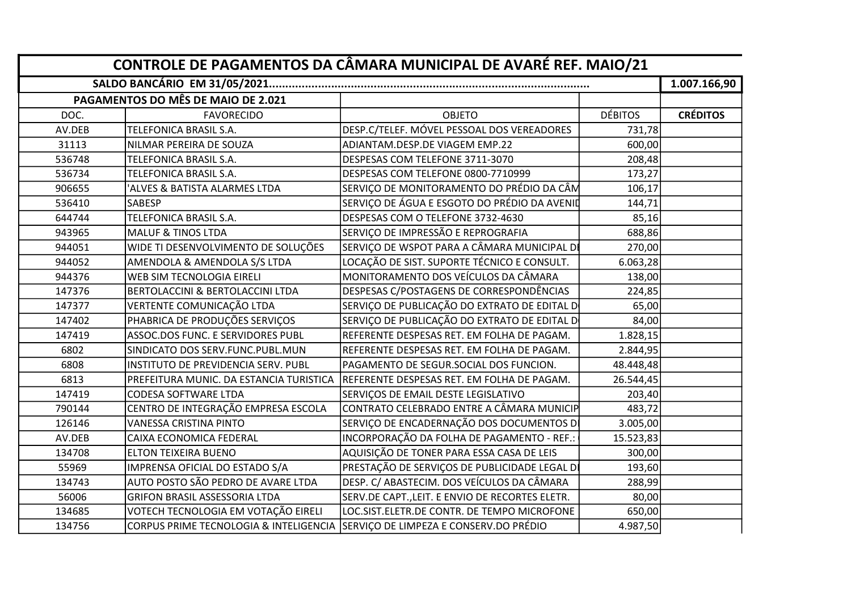|        |                                             | CONTROLE DE PAGAMENTOS DA CÂMARA MUNICIPAL DE AVARÉ REF. MAIO/21               |                |                 |
|--------|---------------------------------------------|--------------------------------------------------------------------------------|----------------|-----------------|
|        |                                             |                                                                                |                | 1.007.166,90    |
|        | PAGAMENTOS DO MÊS DE MAIO DE 2.021          |                                                                                |                |                 |
| DOC.   | <b>FAVORECIDO</b>                           | <b>OBJETO</b>                                                                  | <b>DÉBITOS</b> | <b>CRÉDITOS</b> |
| AV.DEB | <b>TELEFONICA BRASIL S.A.</b>               | DESP.C/TELEF. MÓVEL PESSOAL DOS VEREADORES                                     | 731,78         |                 |
| 31113  | NILMAR PEREIRA DE SOUZA                     | ADIANTAM.DESP.DE VIAGEM EMP.22                                                 | 600,00         |                 |
| 536748 | <b>TELEFONICA BRASIL S.A.</b>               | DESPESAS COM TELEFONE 3711-3070                                                | 208,48         |                 |
| 536734 | <b>TELEFONICA BRASIL S.A.</b>               | DESPESAS COM TELEFONE 0800-7710999                                             | 173,27         |                 |
| 906655 | ALVES & BATISTA ALARMES LTDA                | SERVIÇO DE MONITORAMENTO DO PRÉDIO DA CÂM                                      | 106,17         |                 |
| 536410 | <b>SABESP</b>                               | SERVIÇO DE ÁGUA E ESGOTO DO PRÉDIO DA AVENID                                   | 144,71         |                 |
| 644744 | <b>TELEFONICA BRASIL S.A.</b>               | DESPESAS COM O TELEFONE 3732-4630                                              | 85,16          |                 |
| 943965 | <b>MALUF &amp; TINOS LTDA</b>               | SERVIÇO DE IMPRESSÃO E REPROGRAFIA                                             | 688,86         |                 |
| 944051 | WIDE TI DESENVOLVIMENTO DE SOLUÇÕES         | SERVIÇO DE WSPOT PARA A CÂMARA MUNICIPAL DI                                    | 270,00         |                 |
| 944052 | AMENDOLA & AMENDOLA S/S LTDA                | LOCAÇÃO DE SIST. SUPORTE TÉCNICO E CONSULT.                                    | 6.063,28       |                 |
| 944376 | <b>WEB SIM TECNOLOGIA EIRELI</b>            | MONITORAMENTO DOS VEÍCULOS DA CÂMARA                                           | 138,00         |                 |
| 147376 | <b>BERTOLACCINI &amp; BERTOLACCINI LTDA</b> | DESPESAS C/POSTAGENS DE CORRESPONDÊNCIAS                                       | 224,85         |                 |
| 147377 | VERTENTE COMUNICAÇÃO LTDA                   | SERVIÇO DE PUBLICAÇÃO DO EXTRATO DE EDITAL D                                   | 65,00          |                 |
| 147402 | PHABRICA DE PRODUÇÕES SERVIÇOS              | SERVIÇO DE PUBLICAÇÃO DO EXTRATO DE EDITAL D                                   | 84,00          |                 |
| 147419 | ASSOC.DOS FUNC. E SERVIDORES PUBL           | REFERENTE DESPESAS RET. EM FOLHA DE PAGAM.                                     | 1.828,15       |                 |
| 6802   | SINDICATO DOS SERV.FUNC.PUBL.MUN            | REFERENTE DESPESAS RET. EM FOLHA DE PAGAM.                                     | 2.844,95       |                 |
| 6808   | INSTITUTO DE PREVIDENCIA SERV. PUBL         | PAGAMENTO DE SEGUR.SOCIAL DOS FUNCION.                                         | 48.448,48      |                 |
| 6813   | PREFEITURA MUNIC. DA ESTANCIA TURISTICA     | REFERENTE DESPESAS RET. EM FOLHA DE PAGAM                                      | 26.544,45      |                 |
| 147419 | CODESA SOFTWARE LTDA                        | SERVIÇOS DE EMAIL DESTE LEGISLATIVO                                            | 203,40         |                 |
| 790144 | CENTRO DE INTEGRAÇÃO EMPRESA ESCOLA         | CONTRATO CELEBRADO ENTRE A CÂMARA MUNICIP                                      | 483,72         |                 |
| 126146 | VANESSA CRISTINA PINTO                      | SERVIÇO DE ENCADERNAÇÃO DOS DOCUMENTOS D                                       | 3.005,00       |                 |
| AV.DEB | CAIXA ECONOMICA FEDERAL                     | INCORPORAÇÃO DA FOLHA DE PAGAMENTO - REF.:                                     | 15.523,83      |                 |
| 134708 | <b>ELTON TEIXEIRA BUENO</b>                 | AQUISIÇÃO DE TONER PARA ESSA CASA DE LEIS                                      | 300,00         |                 |
| 55969  | IMPRENSA OFICIAL DO ESTADO S/A              | PRESTAÇÃO DE SERVIÇOS DE PUBLICIDADE LEGAL DI                                  | 193,60         |                 |
| 134743 | AUTO POSTO SÃO PEDRO DE AVARE LTDA          | DESP. C/ ABASTECIM. DOS VEÍCULOS DA CÂMARA                                     | 288,99         |                 |
| 56006  | <b>GRIFON BRASIL ASSESSORIA LTDA</b>        | SERV.DE CAPT., LEIT. E ENVIO DE RECORTES ELETR.                                | 80,00          |                 |
| 134685 | VOTECH TECNOLOGIA EM VOTAÇÃO EIRELI         | LOC.SIST.ELETR.DE CONTR. DE TEMPO MICROFONE                                    | 650,00         |                 |
| 134756 |                                             | CORPUS PRIME TECNOLOGIA & INTELIGENCIA SSERVIÇO DE LIMPEZA E CONSERV.DO PRÉDIO | 4.987,50       |                 |